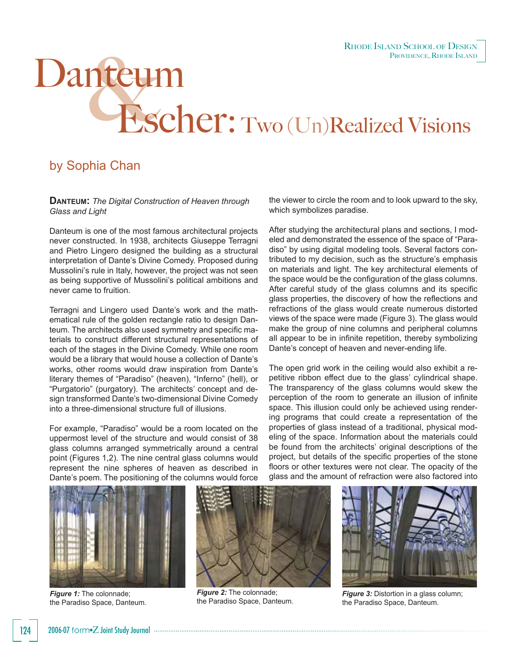## Danteum<br>Escher: Two (Un)Realized Visions

## by Sophia Chan

**DANTEUM:** *The Digital Construction of Heaven through Glass and Light*

Danteum is one of the most famous architectural projects never constructed. In 1938, architects Giuseppe Terragni and Pietro Lingero designed the building as a structural interpretation of Dante's Divine Comedy. Proposed during Mussolini's rule in Italy, however, the project was not seen as being supportive of Mussolini's political ambitions and never came to fruition.

Terragni and Lingero used Dante's work and the mathematical rule of the golden rectangle ratio to design Danteum. The architects also used symmetry and specific materials to construct different structural representations of each of the stages in the Divine Comedy. While one room would be a library that would house a collection of Dante's works, other rooms would draw inspiration from Dante's literary themes of "Paradiso" (heaven), "Inferno" (hell), or "Purgatorio" (purgatory). The architects' concept and design transformed Dante's two-dimensional Divine Comedy into a three-dimensional structure full of illusions.

For example, "Paradiso" would be a room located on the uppermost level of the structure and would consist of 38 glass columns arranged symmetrically around a central point (Figures 1,2). The nine central glass columns would represent the nine spheres of heaven as described in Dante's poem. The positioning of the columns would force

the viewer to circle the room and to look upward to the sky, which symbolizes paradise.

After studying the architectural plans and sections, I modeled and demonstrated the essence of the space of "Paradiso" by using digital modeling tools. Several factors contributed to my decision, such as the structure's emphasis on materials and light. The key architectural elements of the space would be the configuration of the glass columns. After careful study of the glass columns and its specific glass properties, the discovery of how the reflections and refractions of the glass would create numerous distorted views of the space were made (Figure 3). The glass would make the group of nine columns and peripheral columns all appear to be in infinite repetition, thereby symbolizing Dante's concept of heaven and never-ending life.

The open grid work in the ceiling would also exhibit a repetitive ribbon effect due to the glass' cylindrical shape. The transparency of the glass columns would skew the perception of the room to generate an illusion of infinite space. This illusion could only be achieved using rendering programs that could create a representation of the properties of glass instead of a traditional, physical modeling of the space. Information about the materials could be found from the architects' original descriptions of the project, but details of the specific properties of the stone floors or other textures were not clear. The opacity of the glass and the amount of refraction were also factored into



*Figure 1:* The colonnade; the Paradiso Space, Danteum.



*Figure 2:* The colonnade; the Paradiso Space, Danteum.



*Figure 3:* Distortion in a glass column; the Paradiso Space, Danteum.